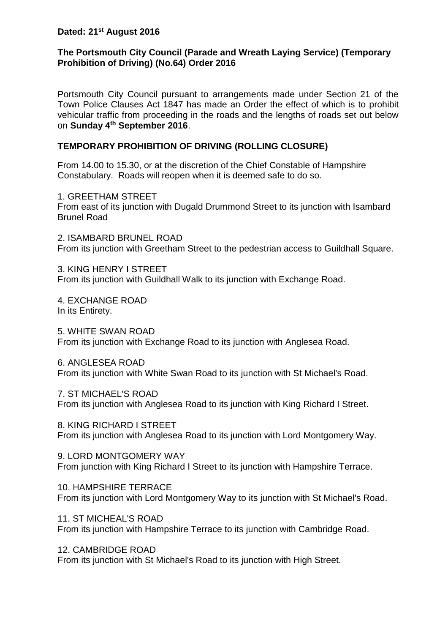# **Dated: 21st August 2016**

### **The Portsmouth City Council (Parade and Wreath Laying Service) (Temporary Prohibition of Driving) (No.64) Order 2016**

Portsmouth City Council pursuant to arrangements made under Section 21 of the Town Police Clauses Act 1847 has made an Order the effect of which is to prohibit vehicular traffic from proceeding in the roads and the lengths of roads set out below on **Sunday 4th September 2016**.

#### **TEMPORARY PROHIBITION OF DRIVING (ROLLING CLOSURE)**

From 14.00 to 15.30, or at the discretion of the Chief Constable of Hampshire Constabulary. Roads will reopen when it is deemed safe to do so.

1. GREETHAM STREET From east of its junction with Dugald Drummond Street to its junction with Isambard Brunel Road

2. ISAMBARD BRUNEL ROAD From its junction with Greetham Street to the pedestrian access to Guildhall Square.

3. KING HENRY I STREET From its junction with Guildhall Walk to its junction with Exchange Road.

4. EXCHANGE ROAD In its Entirety.

5. WHITE SWAN ROAD From its junction with Exchange Road to its junction with Anglesea Road.

6. ANGLESEA ROAD From its junction with White Swan Road to its junction with St Michael's Road.

7. ST MICHAEL'S ROAD From its junction with Anglesea Road to its junction with King Richard I Street.

8. KING RICHARD I STREET From its junction with Anglesea Road to its junction with Lord Montgomery Way.

9. LORD MONTGOMERY WAY From junction with King Richard I Street to its junction with Hampshire Terrace.

10. HAMPSHIRE TERRACE From its junction with Lord Montgomery Way to its junction with St Michael's Road.

11. ST MICHEAL'S ROAD From its junction with Hampshire Terrace to its junction with Cambridge Road.

12. CAMBRIDGE ROAD From its junction with St Michael's Road to its junction with High Street.